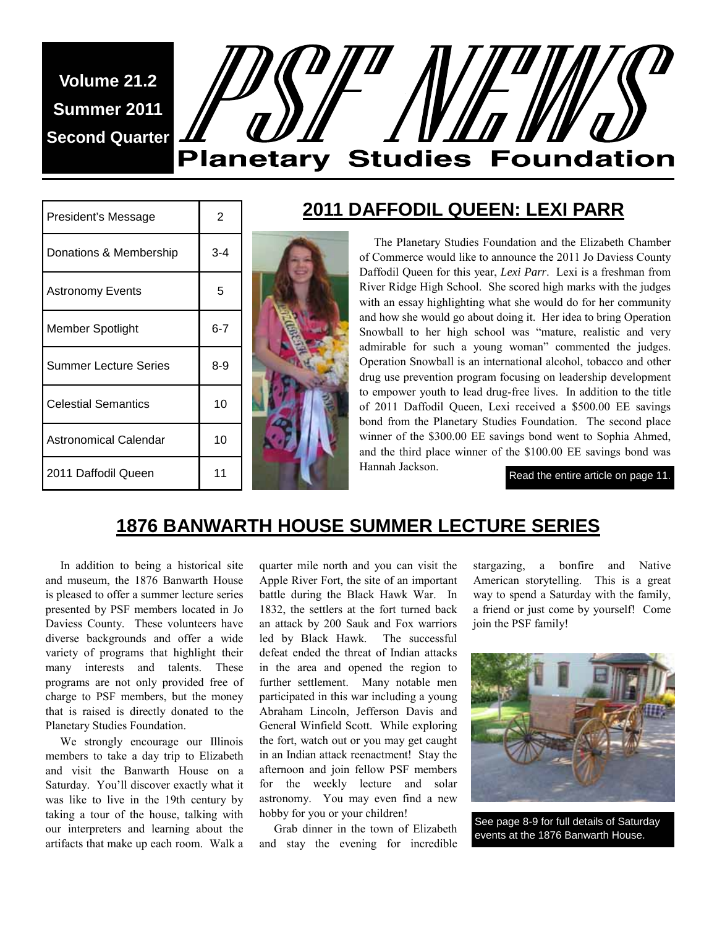**Volume 21.2 Summer 2011 Second Quarter** 

# **Planetary Studies Foundation**

| President's Message        | 2       |
|----------------------------|---------|
| Donations & Membership     | 3-4     |
| <b>Astronomy Events</b>    | 5       |
| Member Spotlight           | $6 - 7$ |
| Summer Lecture Series      | $8 - 9$ |
| <b>Celestial Semantics</b> | 10      |
| Astronomical Calendar      | 10      |
| 2011 Daffodil Queen        | 11      |



#### **2011 DAFFODIL QUEEN: LEXI PARR**

 The Planetary Studies Foundation and the Elizabeth Chamber of Commerce would like to announce the 2011 Jo Daviess County Daffodil Queen for this year, *Lexi Parr*. Lexi is a freshman from River Ridge High School. She scored high marks with the judges with an essay highlighting what she would do for her community and how she would go about doing it. Her idea to bring Operation Snowball to her high school was "mature, realistic and very admirable for such a young woman" commented the judges. Operation Snowball is an international alcohol, tobacco and other drug use prevention program focusing on leadership development to empower youth to lead drug-free lives. In addition to the title of 2011 Daffodil Queen, Lexi received a \$500.00 EE savings bond from the Planetary Studies Foundation. The second place winner of the \$300.00 EE savings bond went to Sophia Ahmed, and the third place winner of the \$100.00 EE savings bond was Hannah Jackson.

Read the entire article on page 11.

# **1876 BANWARTH HOUSE SUMMER LECTURE SERIES**

 In addition to being a historical site and museum, the 1876 Banwarth House is pleased to offer a summer lecture series presented by PSF members located in Jo Daviess County. These volunteers have diverse backgrounds and offer a wide variety of programs that highlight their many interests and talents. These programs are not only provided free of charge to PSF members, but the money that is raised is directly donated to the Planetary Studies Foundation.

 We strongly encourage our Illinois members to take a day trip to Elizabeth and visit the Banwarth House on a Saturday. You'll discover exactly what it was like to live in the 19th century by taking a tour of the house, talking with our interpreters and learning about the artifacts that make up each room. Walk a

quarter mile north and you can visit the Apple River Fort, the site of an important battle during the Black Hawk War. In 1832, the settlers at the fort turned back an attack by 200 Sauk and Fox warriors led by Black Hawk. The successful defeat ended the threat of Indian attacks in the area and opened the region to further settlement. Many notable men participated in this war including a young Abraham Lincoln, Jefferson Davis and General Winfield Scott. While exploring the fort, watch out or you may get caught in an Indian attack reenactment! Stay the afternoon and join fellow PSF members for the weekly lecture and solar astronomy. You may even find a new hobby for you or your children!

 Grab dinner in the town of Elizabeth and stay the evening for incredible stargazing, a bonfire and Native American storytelling. This is a great way to spend a Saturday with the family, a friend or just come by yourself! Come join the PSF family!



See page 8-9 for full details of Saturday events at the 1876 Banwarth House.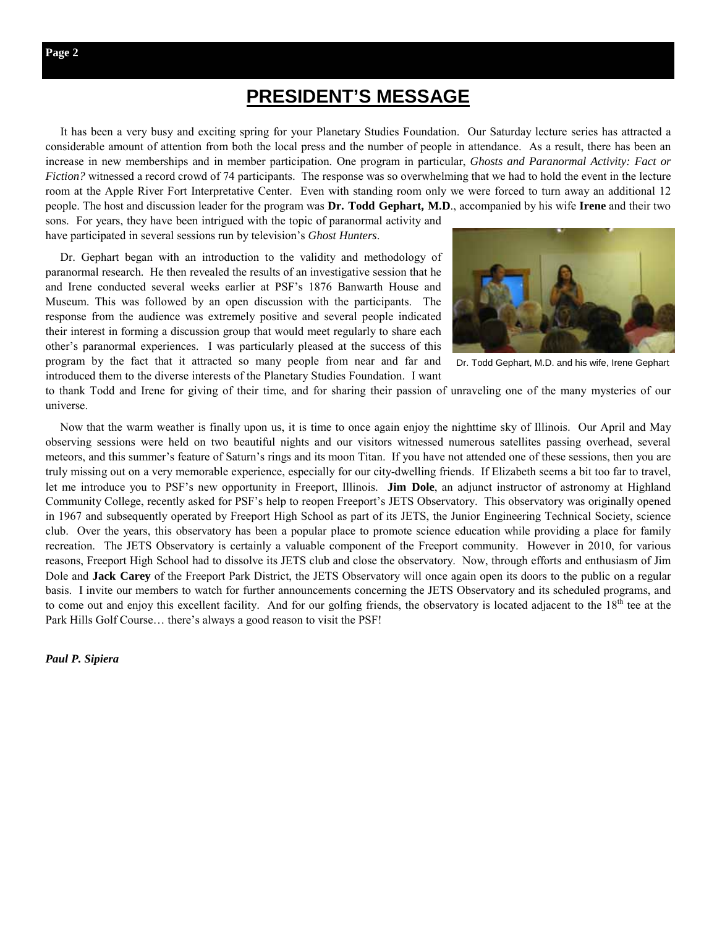It has been a very busy and exciting spring for your Planetary Studies Foundation. Our Saturday lecture series has attracted a considerable amount of attention from both the local press and the number of people in attendance. As a result, there has been an increase in new memberships and in member participation. One program in particular, *Ghosts and Paranormal Activity: Fact or Fiction?* witnessed a record crowd of 74 participants. The response was so overwhelming that we had to hold the event in the lecture room at the Apple River Fort Interpretative Center. Even with standing room only we were forced to turn away an additional 12 people. The host and discussion leader for the program was **Dr. Todd Gephart, M.D**., accompanied by his wife **Irene** and their two

sons. For years, they have been intrigued with the topic of paranormal activity and have participated in several sessions run by television's *Ghost Hunters*.

 Dr. Gephart began with an introduction to the validity and methodology of paranormal research. He then revealed the results of an investigative session that he and Irene conducted several weeks earlier at PSF's 1876 Banwarth House and Museum. This was followed by an open discussion with the participants. The response from the audience was extremely positive and several people indicated their interest in forming a discussion group that would meet regularly to share each other's paranormal experiences. I was particularly pleased at the success of this program by the fact that it attracted so many people from near and far and introduced them to the diverse interests of the Planetary Studies Foundation. I want



Dr. Todd Gephart, M.D. and his wife, Irene Gephart

to thank Todd and Irene for giving of their time, and for sharing their passion of unraveling one of the many mysteries of our universe.

 Now that the warm weather is finally upon us, it is time to once again enjoy the nighttime sky of Illinois. Our April and May observing sessions were held on two beautiful nights and our visitors witnessed numerous satellites passing overhead, several meteors, and this summer's feature of Saturn's rings and its moon Titan. If you have not attended one of these sessions, then you are truly missing out on a very memorable experience, especially for our city-dwelling friends. If Elizabeth seems a bit too far to travel, let me introduce you to PSF's new opportunity in Freeport, Illinois. **Jim Dole**, an adjunct instructor of astronomy at Highland Community College, recently asked for PSF's help to reopen Freeport's JETS Observatory. This observatory was originally opened in 1967 and subsequently operated by Freeport High School as part of its JETS, the Junior Engineering Technical Society, science club. Over the years, this observatory has been a popular place to promote science education while providing a place for family recreation. The JETS Observatory is certainly a valuable component of the Freeport community. However in 2010, for various reasons, Freeport High School had to dissolve its JETS club and close the observatory. Now, through efforts and enthusiasm of Jim Dole and **Jack Carey** of the Freeport Park District, the JETS Observatory will once again open its doors to the public on a regular basis. I invite our members to watch for further announcements concerning the JETS Observatory and its scheduled programs, and to come out and enjoy this excellent facility. And for our golfing friends, the observatory is located adjacent to the 18<sup>th</sup> tee at the Park Hills Golf Course… there's always a good reason to visit the PSF!

*Paul P. Sipiera*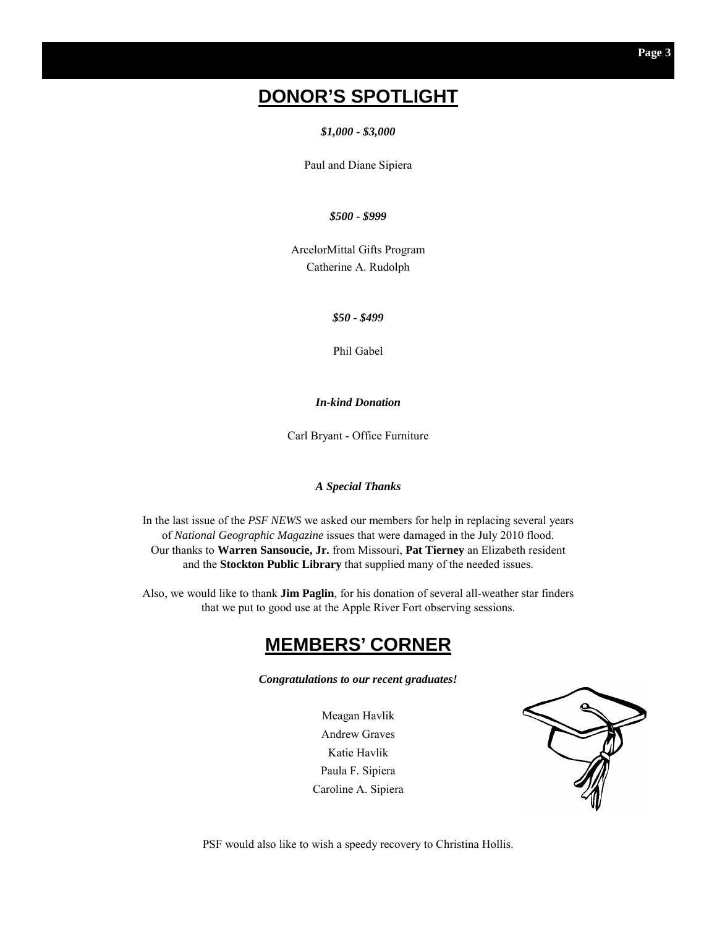# **DONOR'S SPOTLIGHT**

*\$1,000 - \$3,000* 

Paul and Diane Sipiera

*\$500 - \$999* 

ArcelorMittal Gifts Program Catherine A. Rudolph

*\$50 - \$499* 

Phil Gabel

*In-kind Donation* 

Carl Bryant - Office Furniture

#### *A Special Thanks*

In the last issue of the *PSF NEWS* we asked our members for help in replacing several years of *National Geographic Magazine* issues that were damaged in the July 2010 flood. Our thanks to **Warren Sansoucie, Jr.** from Missouri, **Pat Tierney** an Elizabeth resident and the **Stockton Public Library** that supplied many of the needed issues.

Also, we would like to thank **Jim Paglin**, for his donation of several all-weather star finders that we put to good use at the Apple River Fort observing sessions.

### **MEMBERS' CORNER**

*Congratulations to our recent graduates!* 

Meagan Havlik Andrew Graves Katie Havlik Paula F. Sipiera Caroline A. Sipiera



PSF would also like to wish a speedy recovery to Christina Hollis.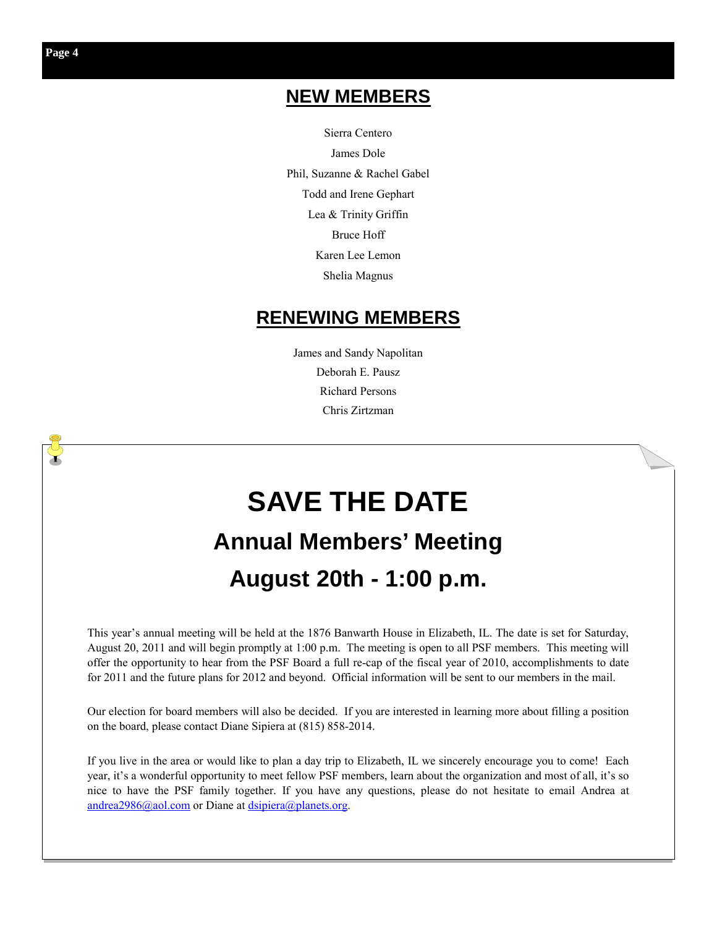## **NEW MEMBERS**

Sierra Centero James Dole Phil, Suzanne & Rachel Gabel Todd and Irene Gephart Lea & Trinity Griffin Bruce Hoff Karen Lee Lemon Shelia Magnus

#### **RENEWING MEMBERS**

James and Sandy Napolitan Deborah E. Pausz Richard Persons Chris Zirtzman

# **SAVE THE DATE Annual Members' Meeting August 20th - 1:00 p.m.**

This year's annual meeting will be held at the 1876 Banwarth House in Elizabeth, IL. The date is set for Saturday, August 20, 2011 and will begin promptly at 1:00 p.m. The meeting is open to all PSF members. This meeting will offer the opportunity to hear from the PSF Board a full re-cap of the fiscal year of 2010, accomplishments to date for 2011 and the future plans for 2012 and beyond. Official information will be sent to our members in the mail.

Our election for board members will also be decided. If you are interested in learning more about filling a position on the board, please contact Diane Sipiera at (815) 858-2014.

If you live in the area or would like to plan a day trip to Elizabeth, IL we sincerely encourage you to come! Each year, it's a wonderful opportunity to meet fellow PSF members, learn about the organization and most of all, it's so nice to have the PSF family together. If you have any questions, please do not hesitate to email Andrea at andrea2986@aol.com or Diane at dsipiera@planets.org.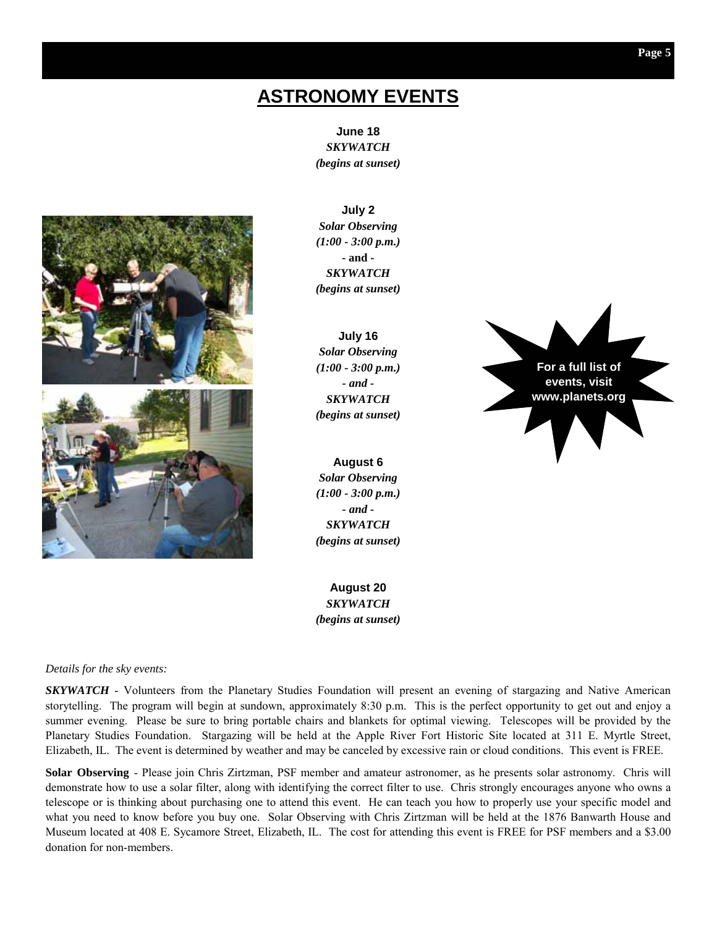# **ASTRONOMY EVENTS**

**June 18**  *SKYWATCH (begins at sunset)* 



**July 2**  *Solar Observing (1:00 - 3:00 p.m.)*  **- and -**  *SKYWATCH (begins at sunset)*

**July 16**  *Solar Observing (1:00 - 3:00 p.m.) - and - SKYWATCH (begins at sunset)* 

**August 6**  *Solar Observing (1:00 - 3:00 p.m.) - and - SKYWATCH (begins at sunset)* 

**August 20**  *SKYWATCH (begins at sunset)* 



*Details for the sky events:* 

*SKYWATCH* - Volunteers from the Planetary Studies Foundation will present an evening of stargazing and Native American storytelling. The program will begin at sundown, approximately 8:30 p.m. This is the perfect opportunity to get out and enjoy a summer evening. Please be sure to bring portable chairs and blankets for optimal viewing. Telescopes will be provided by the Planetary Studies Foundation. Stargazing will be held at the Apple River Fort Historic Site located at 311 E. Myrtle Street, Elizabeth, IL. The event is determined by weather and may be canceled by excessive rain or cloud conditions. This event is FREE.

**Solar Observing** - Please join Chris Zirtzman, PSF member and amateur astronomer, as he presents solar astronomy. Chris will demonstrate how to use a solar filter, along with identifying the correct filter to use. Chris strongly encourages anyone who owns a telescope or is thinking about purchasing one to attend this event. He can teach you how to properly use your specific model and what you need to know before you buy one. Solar Observing with Chris Zirtzman will be held at the 1876 Banwarth House and Museum located at 408 E. Sycamore Street, Elizabeth, IL. The cost for attending this event is FREE for PSF members and a \$3.00 donation for non-members.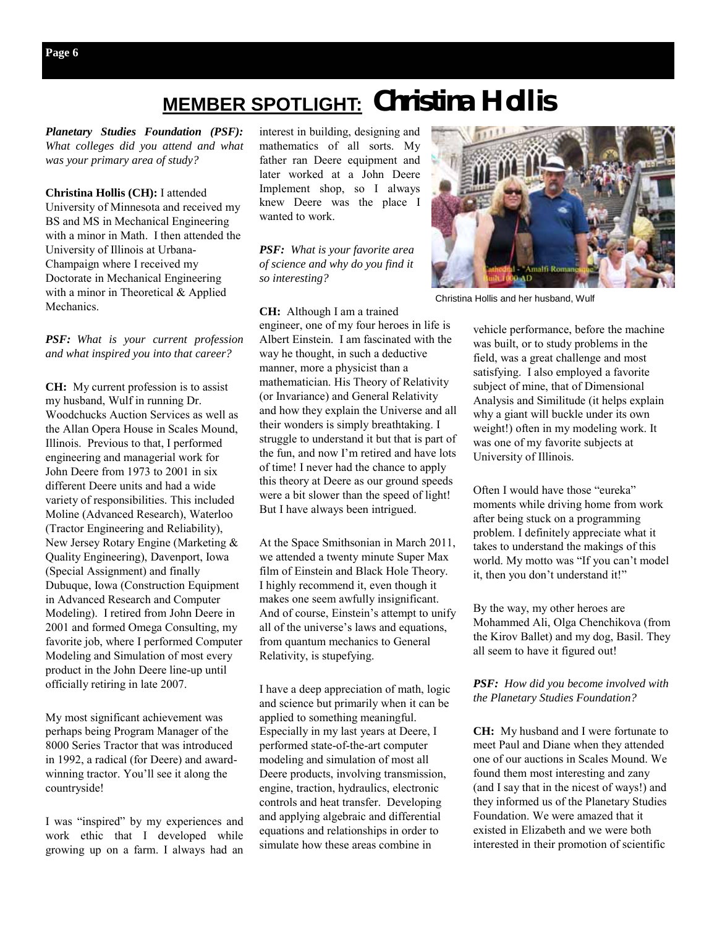# **MEMBER SPOTLIGHT: Christina Hollis**

*Planetary Studies Foundation (PSF): What colleges did you attend and what was your primary area of study?* 

**Christina Hollis (CH):** I attended University of Minnesota and received my BS and MS in Mechanical Engineering with a minor in Math. I then attended the University of Illinois at Urbana-Champaign where I received my Doctorate in Mechanical Engineering with a minor in Theoretical & Applied Mechanics.

*PSF: What is your current profession and what inspired you into that career?* 

**CH:** My current profession is to assist my husband, Wulf in running Dr. Woodchucks Auction Services as well as the Allan Opera House in Scales Mound, Illinois. Previous to that, I performed engineering and managerial work for John Deere from 1973 to 2001 in six different Deere units and had a wide variety of responsibilities. This included Moline (Advanced Research), Waterloo (Tractor Engineering and Reliability), New Jersey Rotary Engine (Marketing & Quality Engineering), Davenport, Iowa (Special Assignment) and finally Dubuque, Iowa (Construction Equipment in Advanced Research and Computer Modeling). I retired from John Deere in 2001 and formed Omega Consulting, my favorite job, where I performed Computer Modeling and Simulation of most every product in the John Deere line-up until officially retiring in late 2007.

My most significant achievement was perhaps being Program Manager of the 8000 Series Tractor that was introduced in 1992, a radical (for Deere) and awardwinning tractor. You'll see it along the countryside!

I was "inspired" by my experiences and work ethic that I developed while growing up on a farm. I always had an

interest in building, designing and mathematics of all sorts. My father ran Deere equipment and later worked at a John Deere Implement shop, so I always knew Deere was the place I wanted to work.

*PSF: What is your favorite area of science and why do you find it so interesting?* 

**CH:** Although I am a trained engineer, one of my four heroes in life is Albert Einstein. I am fascinated with the way he thought, in such a deductive manner, more a physicist than a mathematician. His Theory of Relativity (or Invariance) and General Relativity and how they explain the Universe and all their wonders is simply breathtaking. I struggle to understand it but that is part of the fun, and now I'm retired and have lots of time! I never had the chance to apply this theory at Deere as our ground speeds were a bit slower than the speed of light! But I have always been intrigued.

At the Space Smithsonian in March 2011, we attended a twenty minute Super Max film of Einstein and Black Hole Theory. I highly recommend it, even though it makes one seem awfully insignificant. And of course, Einstein's attempt to unify all of the universe's laws and equations, from quantum mechanics to General Relativity, is stupefying.

I have a deep appreciation of math, logic and science but primarily when it can be applied to something meaningful. Especially in my last years at Deere, I performed state-of-the-art computer modeling and simulation of most all Deere products, involving transmission, engine, traction, hydraulics, electronic controls and heat transfer. Developing and applying algebraic and differential equations and relationships in order to simulate how these areas combine in

Christina Hollis and her husband, Wulf

vehicle performance, before the machine was built, or to study problems in the field, was a great challenge and most satisfying. I also employed a favorite subject of mine, that of Dimensional Analysis and Similitude (it helps explain why a giant will buckle under its own weight!) often in my modeling work. It was one of my favorite subjects at University of Illinois.

Often I would have those "eureka" moments while driving home from work after being stuck on a programming problem. I definitely appreciate what it takes to understand the makings of this world. My motto was "If you can't model it, then you don't understand it!"

By the way, my other heroes are Mohammed Ali, Olga Chenchikova (from the Kirov Ballet) and my dog, Basil. They all seem to have it figured out!

*PSF: How did you become involved with the Planetary Studies Foundation?* 

**CH:** My husband and I were fortunate to meet Paul and Diane when they attended one of our auctions in Scales Mound. We found them most interesting and zany (and I say that in the nicest of ways!) and they informed us of the Planetary Studies Foundation. We were amazed that it existed in Elizabeth and we were both interested in their promotion of scientific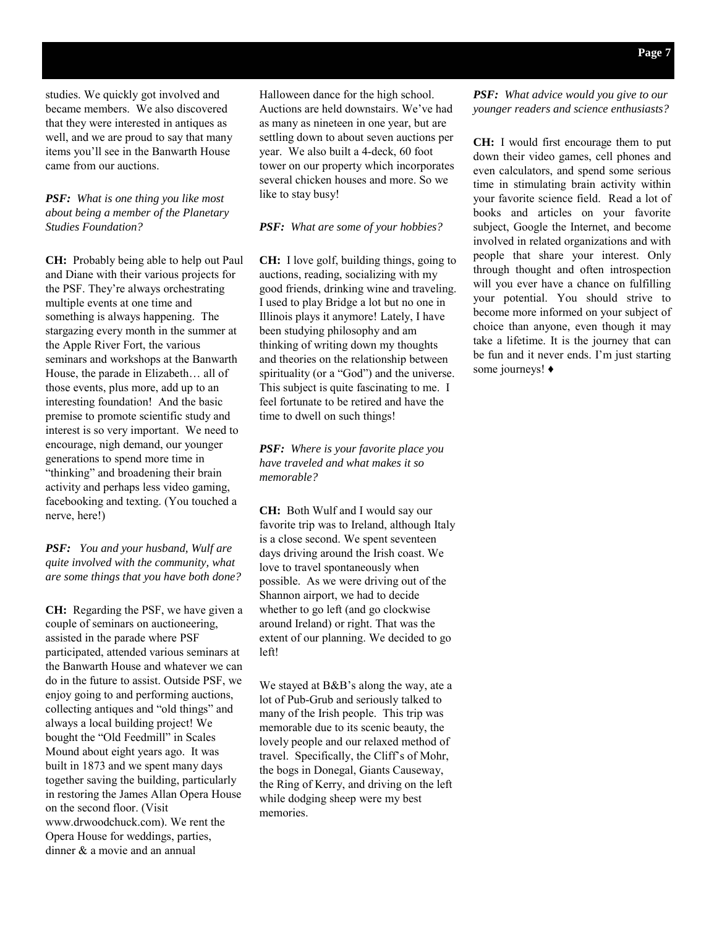studies. We quickly got involved and became members. We also discovered that they were interested in antiques as well, and we are proud to say that many items you'll see in the Banwarth House came from our auctions.

#### *PSF: What is one thing you like most about being a member of the Planetary Studies Foundation?*

**CH:** Probably being able to help out Paul and Diane with their various projects for the PSF. They're always orchestrating multiple events at one time and something is always happening. The stargazing every month in the summer at the Apple River Fort, the various seminars and workshops at the Banwarth House, the parade in Elizabeth… all of those events, plus more, add up to an interesting foundation! And the basic premise to promote scientific study and interest is so very important. We need to encourage, nigh demand, our younger generations to spend more time in "thinking" and broadening their brain activity and perhaps less video gaming, facebooking and texting. (You touched a nerve, here!)

*PSF: You and your husband, Wulf are quite involved with the community, what are some things that you have both done?* 

**CH:** Regarding the PSF, we have given a couple of seminars on auctioneering, assisted in the parade where PSF participated, attended various seminars at the Banwarth House and whatever we can do in the future to assist. Outside PSF, we enjoy going to and performing auctions, collecting antiques and "old things" and always a local building project! We bought the "Old Feedmill" in Scales Mound about eight years ago. It was built in 1873 and we spent many days together saving the building, particularly in restoring the James Allan Opera House on the second floor. (Visit www.drwoodchuck.com). We rent the Opera House for weddings, parties, dinner & a movie and an annual

Halloween dance for the high school. Auctions are held downstairs. We've had as many as nineteen in one year, but are settling down to about seven auctions per year. We also built a 4-deck, 60 foot tower on our property which incorporates several chicken houses and more. So we like to stay busy!

*PSF: What are some of your hobbies?* 

**CH:** I love golf, building things, going to auctions, reading, socializing with my good friends, drinking wine and traveling. I used to play Bridge a lot but no one in Illinois plays it anymore! Lately, I have been studying philosophy and am thinking of writing down my thoughts and theories on the relationship between spirituality (or a "God") and the universe. This subject is quite fascinating to me. I feel fortunate to be retired and have the time to dwell on such things!

*PSF: Where is your favorite place you have traveled and what makes it so memorable?* 

**CH:** Both Wulf and I would say our favorite trip was to Ireland, although Italy is a close second. We spent seventeen days driving around the Irish coast. We love to travel spontaneously when possible. As we were driving out of the Shannon airport, we had to decide whether to go left (and go clockwise around Ireland) or right. That was the extent of our planning. We decided to go left!

We stayed at B&B's along the way, ate a lot of Pub-Grub and seriously talked to many of the Irish people. This trip was memorable due to its scenic beauty, the lovely people and our relaxed method of travel. Specifically, the Cliff's of Mohr, the bogs in Donegal, Giants Causeway, the Ring of Kerry, and driving on the left while dodging sheep were my best memories.

*PSF: What advice would you give to our younger readers and science enthusiasts?* 

**CH:** I would first encourage them to put down their video games, cell phones and even calculators, and spend some serious time in stimulating brain activity within your favorite science field. Read a lot of books and articles on your favorite subject, Google the Internet, and become involved in related organizations and with people that share your interest. Only through thought and often introspection will you ever have a chance on fulfilling your potential. You should strive to become more informed on your subject of choice than anyone, even though it may take a lifetime. It is the journey that can be fun and it never ends. I'm just starting some journeys! ♦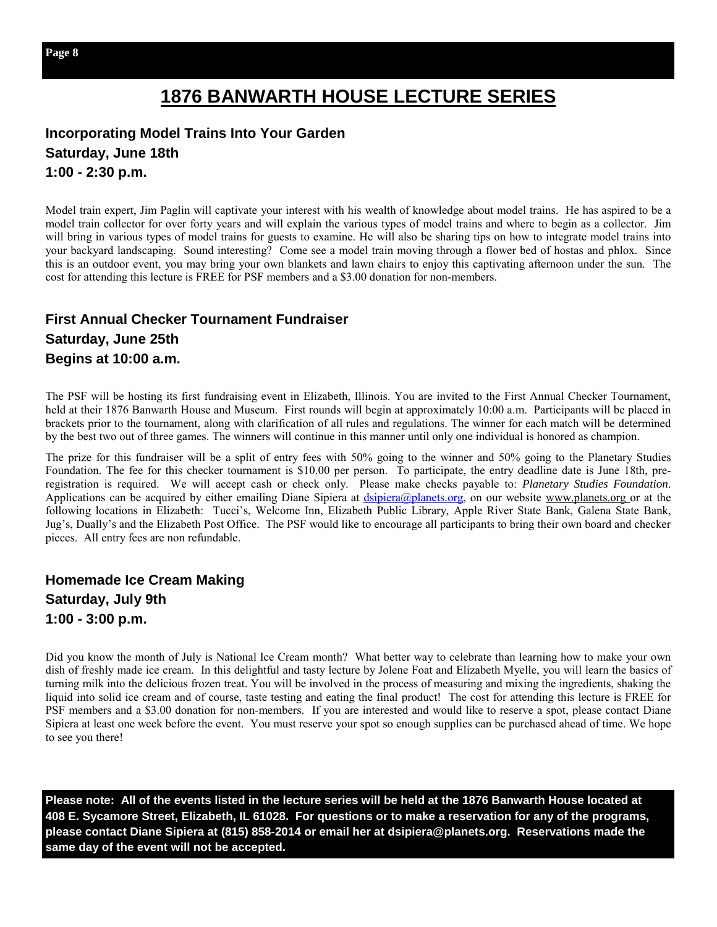# **1876 BANWARTH HOUSE LECTURE SERIES**

#### **Incorporating Model Trains Into Your Garden Saturday, June 18th 1:00 - 2:30 p.m.**

Model train expert, Jim Paglin will captivate your interest with his wealth of knowledge about model trains. He has aspired to be a model train collector for over forty years and will explain the various types of model trains and where to begin as a collector. Jim will bring in various types of model trains for guests to examine. He will also be sharing tips on how to integrate model trains into your backyard landscaping. Sound interesting? Come see a model train moving through a flower bed of hostas and phlox. Since this is an outdoor event, you may bring your own blankets and lawn chairs to enjoy this captivating afternoon under the sun. The cost for attending this lecture is FREE for PSF members and a \$3.00 donation for non-members.

#### **First Annual Checker Tournament Fundraiser Saturday, June 25th Begins at 10:00 a.m.**

The PSF will be hosting its first fundraising event in Elizabeth, Illinois. You are invited to the First Annual Checker Tournament, held at their 1876 Banwarth House and Museum. First rounds will begin at approximately 10:00 a.m. Participants will be placed in brackets prior to the tournament, along with clarification of all rules and regulations. The winner for each match will be determined by the best two out of three games. The winners will continue in this manner until only one individual is honored as champion.

The prize for this fundraiser will be a split of entry fees with 50% going to the winner and 50% going to the Planetary Studies Foundation. The fee for this checker tournament is \$10.00 per person. To participate, the entry deadline date is June 18th, preregistration is required. We will accept cash or check only. Please make checks payable to: *Planetary Studies Foundation*. Applications can be acquired by either emailing Diane Sipiera at dsipiera@planets.org, on our website www.planets.org or at the following locations in Elizabeth: Tucci's, Welcome Inn, Elizabeth Public Library, Apple River State Bank, Galena State Bank, Jug's, Dually's and the Elizabeth Post Office. The PSF would like to encourage all participants to bring their own board and checker pieces. All entry fees are non refundable.

**Homemade Ice Cream Making Saturday, July 9th 1:00 - 3:00 p.m.** 

Did you know the month of July is National Ice Cream month? What better way to celebrate than learning how to make your own dish of freshly made ice cream. In this delightful and tasty lecture by Jolene Foat and Elizabeth Myelle, you will learn the basics of turning milk into the delicious frozen treat. You will be involved in the process of measuring and mixing the ingredients, shaking the liquid into solid ice cream and of course, taste testing and eating the final product! The cost for attending this lecture is FREE for PSF members and a \$3.00 donation for non-members. If you are interested and would like to reserve a spot, please contact Diane Sipiera at least one week before the event. You must reserve your spot so enough supplies can be purchased ahead of time. We hope to see you there!

**Please note: All of the events listed in the lecture series will be held at the 1876 Banwarth House located at 408 E. Sycamore Street, Elizabeth, IL 61028. For questions or to make a reservation for any of the programs, please contact Diane Sipiera at (815) 858-2014 or email her at dsipiera@planets.org. Reservations made the same day of the event will not be accepted.**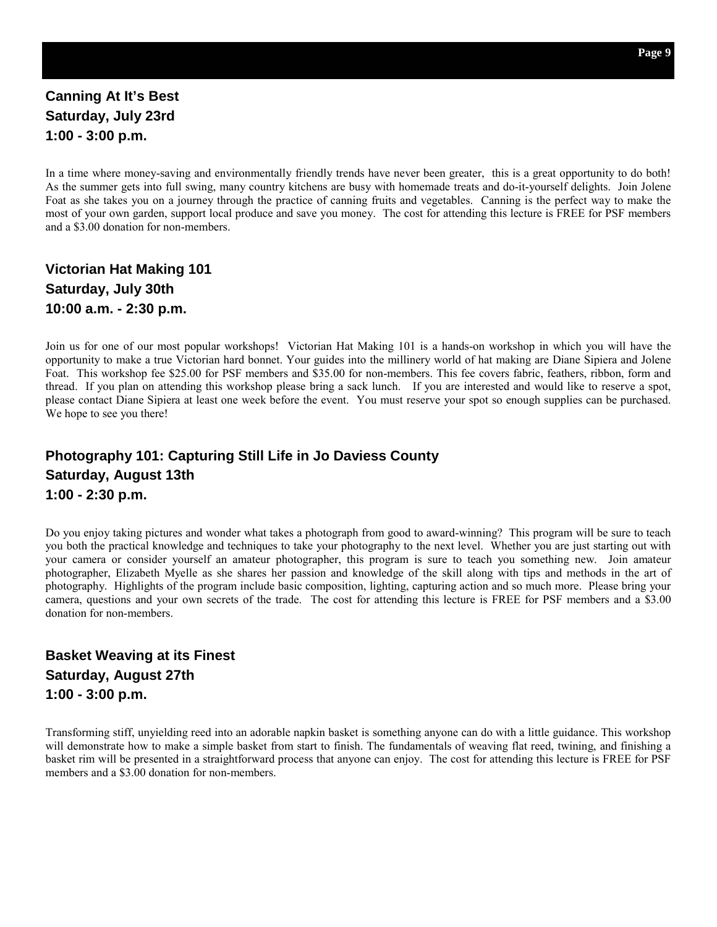#### **Canning At It's Best Saturday, July 23rd 1:00 - 3:00 p.m.**

In a time where money-saving and environmentally friendly trends have never been greater, this is a great opportunity to do both! As the summer gets into full swing, many country kitchens are busy with homemade treats and do-it-yourself delights. Join Jolene Foat as she takes you on a journey through the practice of canning fruits and vegetables. Canning is the perfect way to make the most of your own garden, support local produce and save you money. The cost for attending this lecture is FREE for PSF members and a \$3.00 donation for non-members.

**Victorian Hat Making 101 Saturday, July 30th 10:00 a.m. - 2:30 p.m.** 

Join us for one of our most popular workshops! Victorian Hat Making 101 is a hands-on workshop in which you will have the opportunity to make a true Victorian hard bonnet. Your guides into the millinery world of hat making are Diane Sipiera and Jolene Foat. This workshop fee \$25.00 for PSF members and \$35.00 for non-members. This fee covers fabric, feathers, ribbon, form and thread. If you plan on attending this workshop please bring a sack lunch. If you are interested and would like to reserve a spot, please contact Diane Sipiera at least one week before the event. You must reserve your spot so enough supplies can be purchased. We hope to see you there!

#### **Photography 101: Capturing Still Life in Jo Daviess County Saturday, August 13th 1:00 - 2:30 p.m.**

Do you enjoy taking pictures and wonder what takes a photograph from good to award-winning? This program will be sure to teach you both the practical knowledge and techniques to take your photography to the next level. Whether you are just starting out with your camera or consider yourself an amateur photographer, this program is sure to teach you something new. Join amateur photographer, Elizabeth Myelle as she shares her passion and knowledge of the skill along with tips and methods in the art of photography. Highlights of the program include basic composition, lighting, capturing action and so much more. Please bring your camera, questions and your own secrets of the trade. The cost for attending this lecture is FREE for PSF members and a \$3.00 donation for non-members.

**Basket Weaving at its Finest Saturday, August 27th 1:00 - 3:00 p.m.** 

Transforming stiff, unyielding reed into an adorable napkin basket is something anyone can do with a little guidance. This workshop will demonstrate how to make a simple basket from start to finish. The fundamentals of weaving flat reed, twining, and finishing a basket rim will be presented in a straightforward process that anyone can enjoy. The cost for attending this lecture is FREE for PSF members and a \$3.00 donation for non-members.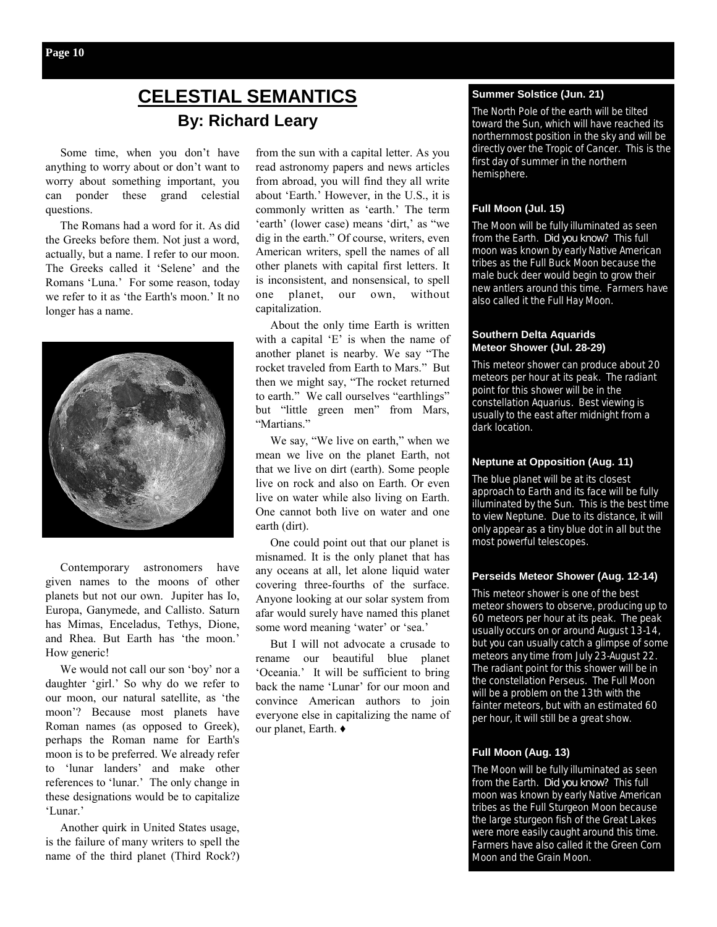# **CELESTIAL SEMANTICS By: Richard Leary**

 Some time, when you don't have anything to worry about or don't want to worry about something important, you can ponder these grand celestial questions.

 The Romans had a word for it. As did the Greeks before them. Not just a word, actually, but a name. I refer to our moon. The Greeks called it 'Selene' and the Romans 'Luna.' For some reason, today we refer to it as 'the Earth's moon.' It no longer has a name.



 Contemporary astronomers have given names to the moons of other planets but not our own. Jupiter has Io, Europa, Ganymede, and Callisto. Saturn has Mimas, Enceladus, Tethys, Dione, and Rhea. But Earth has 'the moon.' How generic!

 We would not call our son 'boy' nor a daughter 'girl.' So why do we refer to our moon, our natural satellite, as 'the moon'? Because most planets have Roman names (as opposed to Greek), perhaps the Roman name for Earth's moon is to be preferred. We already refer to 'lunar landers' and make other references to 'lunar.' The only change in these designations would be to capitalize 'Lunar.'

 Another quirk in United States usage, is the failure of many writers to spell the name of the third planet (Third Rock?)

from the sun with a capital letter. As you read astronomy papers and news articles from abroad, you will find they all write about 'Earth.' However, in the U.S., it is commonly written as 'earth.' The term 'earth' (lower case) means 'dirt,' as "we dig in the earth." Of course, writers, even American writers, spell the names of all other planets with capital first letters. It is inconsistent, and nonsensical, to spell one planet, our own, without capitalization.

 About the only time Earth is written with a capital 'E' is when the name of another planet is nearby. We say "The rocket traveled from Earth to Mars." But then we might say, "The rocket returned to earth." We call ourselves "earthlings" but "little green men" from Mars, "Martians"

 We say, "We live on earth," when we mean we live on the planet Earth, not that we live on dirt (earth). Some people live on rock and also on Earth. Or even live on water while also living on Earth. One cannot both live on water and one earth (dirt).

 One could point out that our planet is misnamed. It is the only planet that has any oceans at all, let alone liquid water covering three-fourths of the surface. Anyone looking at our solar system from afar would surely have named this planet some word meaning 'water' or 'sea.'

 But I will not advocate a crusade to rename our beautiful blue planet 'Oceania.' It will be sufficient to bring back the name 'Lunar' for our moon and convince American authors to join everyone else in capitalizing the name of our planet, Earth. ♦

#### **Summer Solstice (Jun. 21)**

The North Pole of the earth will be tilted toward the Sun, which will have reached its northernmost position in the sky and will be directly over the Tropic of Cancer. This is the first day of summer in the northern hemisphere.

#### **Full Moon (Jul. 15)**

The Moon will be fully illuminated as seen from the Earth. *Did you know?* This full moon was known by early Native American tribes as the Full Buck Moon because the male buck deer would begin to grow their new antlers around this time. Farmers have also called it the Full Hay Moon.

#### **Southern Delta Aquarids Meteor Shower (Jul. 28-29)**

This meteor shower can produce about 20 meteors per hour at its peak. The radiant point for this shower will be in the constellation Aquarius. Best viewing is usually to the east after midnight from a dark location.

#### **Neptune at Opposition (Aug. 11)**

The blue planet will be at its closest approach to Earth and its face will be fully illuminated by the Sun. This is the best time to view Neptune. Due to its distance, it will only appear as a tiny blue dot in all but the most powerful telescopes.

#### **Perseids Meteor Shower (Aug. 12-14)**

This meteor shower is one of the best meteor showers to observe, producing up to 60 meteors per hour at its peak. The peak usually occurs on or around August 13-14, but you can usually catch a glimpse of some meteors any time from July 23-August 22. The radiant point for this shower will be in the constellation Perseus. The Full Moon will be a problem on the 13th with the fainter meteors, but with an estimated 60 per hour, it will still be a great show.

#### **Full Moon (Aug. 13)**

The Moon will be fully illuminated as seen from the Earth. *Did you know?* This full moon was known by early Native American tribes as the Full Sturgeon Moon because the large sturgeon fish of the Great Lakes were more easily caught around this time. Farmers have also called it the Green Corn Moon and the Grain Moon.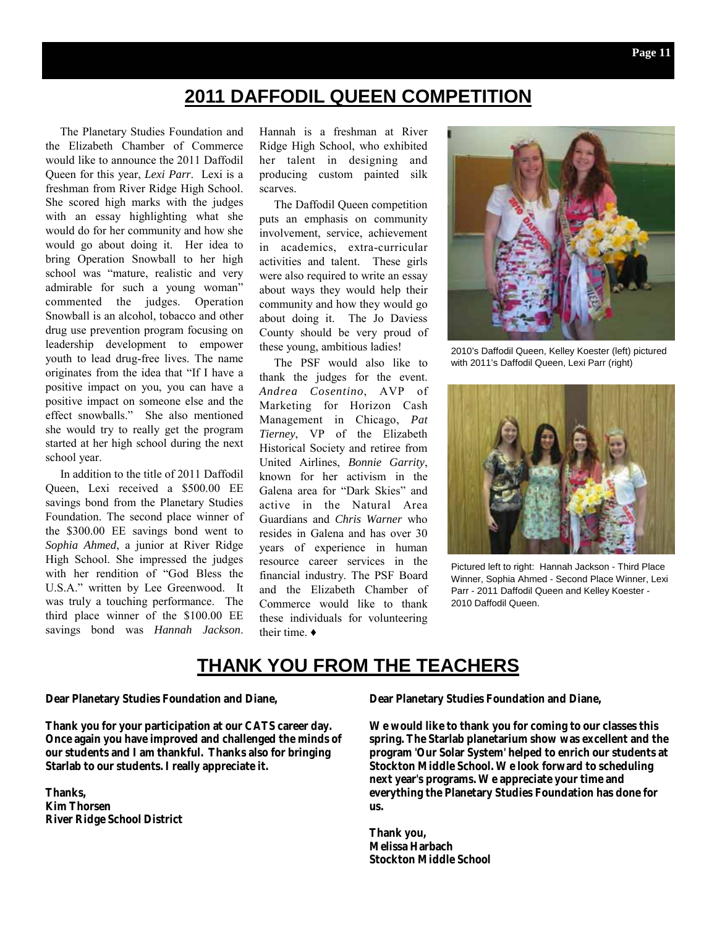# **2011 DAFFODIL QUEEN COMPETITION**

 The Planetary Studies Foundation and the Elizabeth Chamber of Commerce would like to announce the 2011 Daffodil Queen for this year, *Lexi Parr*. Lexi is a freshman from River Ridge High School. She scored high marks with the judges with an essay highlighting what she would do for her community and how she would go about doing it. Her idea to bring Operation Snowball to her high school was "mature, realistic and very admirable for such a young woman" commented the judges. Operation Snowball is an alcohol, tobacco and other drug use prevention program focusing on leadership development to empower youth to lead drug-free lives. The name originates from the idea that "If I have a positive impact on you, you can have a positive impact on someone else and the effect snowballs." She also mentioned she would try to really get the program started at her high school during the next school year.

 In addition to the title of 2011 Daffodil Queen, Lexi received a \$500.00 EE savings bond from the Planetary Studies Foundation. The second place winner of the \$300.00 EE savings bond went to *Sophia Ahmed*, a junior at River Ridge High School. She impressed the judges with her rendition of "God Bless the U.S.A." written by Lee Greenwood. It was truly a touching performance. The third place winner of the \$100.00 EE savings bond was *Hannah Jackson*.

Hannah is a freshman at River Ridge High School, who exhibited her talent in designing and producing custom painted silk scarves.

 The Daffodil Queen competition puts an emphasis on community involvement, service, achievement in academics, extra-curricular activities and talent. These girls were also required to write an essay about ways they would help their community and how they would go about doing it. The Jo Daviess County should be very proud of these young, ambitious ladies!

 The PSF would also like to thank the judges for the event. *Andrea Cosentino*, AVP of Marketing for Horizon Cash Management in Chicago, *Pat Tierney*, VP of the Elizabeth Historical Society and retiree from United Airlines, *Bonnie Garrity*, known for her activism in the Galena area for "Dark Skies" and active in the Natural Area Guardians and *Chris Warner* who resides in Galena and has over 30 years of experience in human resource career services in the financial industry. The PSF Board and the Elizabeth Chamber of Commerce would like to thank these individuals for volunteering their time. ♦



2010's Daffodil Queen, Kelley Koester (left) pictured with 2011's Daffodil Queen, Lexi Parr (right)



Pictured left to right: Hannah Jackson - Third Place Winner, Sophia Ahmed - Second Place Winner, Lexi Parr - 2011 Daffodil Queen and Kelley Koester - 2010 Daffodil Queen.

## **THANK YOU FROM THE TEACHERS**

#### **Dear Planetary Studies Foundation and Diane,**

**Thank you for your participation at our CATS career day. Once again you have improved and challenged the minds of our students and I am thankful. Thanks also for bringing Starlab to our students. I really appreciate it.** 

**Thanks, Kim Thorsen River Ridge School District**  **Dear Planetary Studies Foundation and Diane,** 

**We would like to thank you for coming to our classes this spring. The Starlab planetarium show was excellent and the program 'Our Solar System' helped to enrich our students at Stockton Middle School. We look forward to scheduling next year's programs. We appreciate your time and everything the Planetary Studies Foundation has done for us.** 

**Thank you, Melissa Harbach Stockton Middle School**